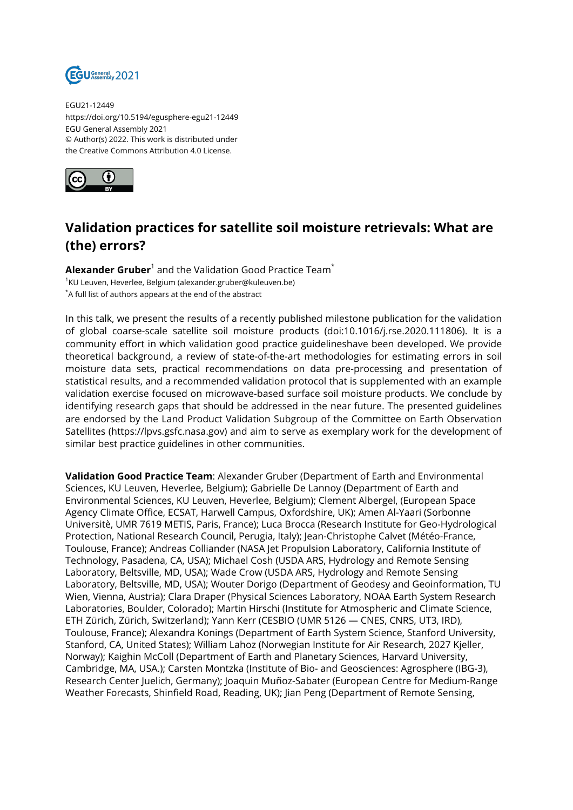

EGU21-12449 https://doi.org/10.5194/egusphere-egu21-12449 EGU General Assembly 2021 © Author(s) 2022. This work is distributed under the Creative Commons Attribution 4.0 License.



## **Validation practices for satellite soil moisture retrievals: What are (the) errors?**

**Alexander Gruber**<sup>1</sup> and the Validation Good Practice Team $^{\star}$  $^{\text{1}}$ KU Leuven, Heverlee, Belgium (alexander.gruber@kuleuven.be) \*A full list of authors appears at the end of the abstract

In this talk, we present the results of a recently published milestone publication for the validation of global coarse-scale satellite soil moisture products (doi:10.1016/j.rse.2020.111806). It is a community effort in which validation good practice guidelineshave been developed. We provide theoretical background, a review of state-of-the-art methodologies for estimating errors in soil moisture data sets, practical recommendations on data pre-processing and presentation of statistical results, and a recommended validation protocol that is supplemented with an example validation exercise focused on microwave-based surface soil moisture products. We conclude by identifying research gaps that should be addressed in the near future. The presented guidelines are endorsed by the Land Product Validation Subgroup of the Committee on Earth Observation Satellites (https://lpvs.gsfc.nasa.gov) and aim to serve as exemplary work for the development of similar best practice guidelines in other communities.

**Validation Good Practice Team**: Alexander Gruber (Department of Earth and Environmental Sciences, KU Leuven, Heverlee, Belgium); Gabrielle De Lannoy (Department of Earth and Environmental Sciences, KU Leuven, Heverlee, Belgium); Clement Albergel, (European Space Agency Climate Office, ECSAT, Harwell Campus, Oxfordshire, UK); Amen Al-Yaari (Sorbonne Universitè, UMR 7619 METIS, Paris, France); Luca Brocca (Research Institute for Geo-Hydrological Protection, National Research Council, Perugia, Italy); Jean-Christophe Calvet (Météo-France, Toulouse, France); Andreas Colliander (NASA Jet Propulsion Laboratory, California Institute of Technology, Pasadena, CA, USA); Michael Cosh (USDA ARS, Hydrology and Remote Sensing Laboratory, Beltsville, MD, USA); Wade Crow (USDA ARS, Hydrology and Remote Sensing Laboratory, Beltsville, MD, USA); Wouter Dorigo (Department of Geodesy and Geoinformation, TU Wien, Vienna, Austria); Clara Draper (Physical Sciences Laboratory, NOAA Earth System Research Laboratories, Boulder, Colorado); Martin Hirschi (Institute for Atmospheric and Climate Science, ETH Zürich, Zürich, Switzerland); Yann Kerr (CESBIO (UMR 5126 — CNES, CNRS, UT3, IRD), Toulouse, France); Alexandra Konings (Department of Earth System Science, Stanford University, Stanford, CA, United States); William Lahoz (Norwegian Institute for Air Research, 2027 Kjeller, Norway); Kaighin McColl (Department of Earth and Planetary Sciences, Harvard University, Cambridge, MA, USA.); Carsten Montzka (Institute of Bio- and Geosciences: Agrosphere (IBG-3), Research Center Juelich, Germany); Joaquin Muñoz-Sabater (European Centre for Medium-Range Weather Forecasts, Shinfield Road, Reading, UK); Jian Peng (Department of Remote Sensing,